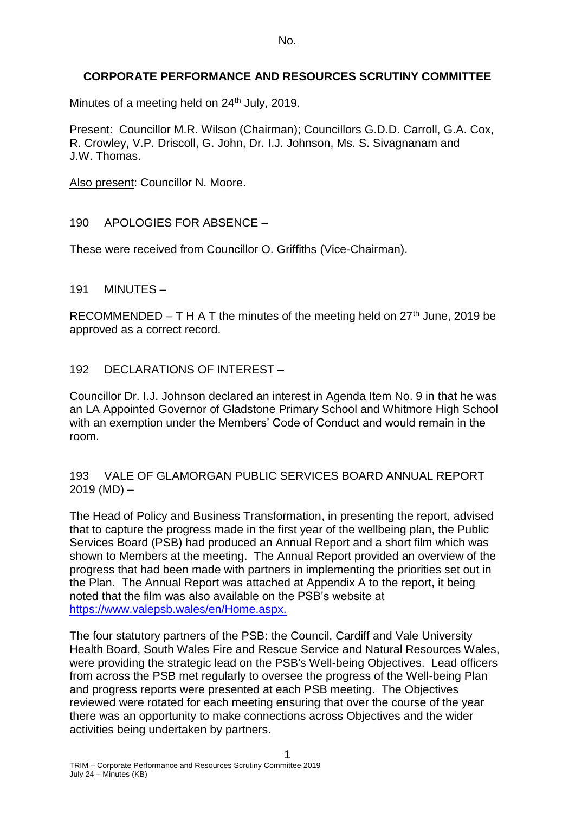### **CORPORATE PERFORMANCE AND RESOURCES SCRUTINY COMMITTEE**

Minutes of a meeting held on 24<sup>th</sup> July, 2019.

Present: Councillor M.R. Wilson (Chairman); Councillors G.D.D. Carroll, G.A. Cox, R. Crowley, V.P. Driscoll, G. John, Dr. I.J. Johnson, Ms. S. Sivagnanam and J.W. Thomas.

Also present: Councillor N. Moore.

190 APOLOGIES FOR ABSENCE –

These were received from Councillor O. Griffiths (Vice-Chairman).

191 MINUTES –

RECOMMENDED – T H A T the minutes of the meeting held on  $27<sup>th</sup>$  June, 2019 be approved as a correct record.

#### 192 DECLARATIONS OF INTEREST –

Councillor Dr. I.J. Johnson declared an interest in Agenda Item No. 9 in that he was an LA Appointed Governor of Gladstone Primary School and Whitmore High School with an exemption under the Members' Code of Conduct and would remain in the room.

193 VALE OF GLAMORGAN PUBLIC SERVICES BOARD ANNUAL REPORT  $2019 (MD) -$ 

The Head of Policy and Business Transformation, in presenting the report, advised that to capture the progress made in the first year of the wellbeing plan, the Public Services Board (PSB) had produced an Annual Report and a short film which was shown to Members at the meeting. The Annual Report provided an overview of the progress that had been made with partners in implementing the priorities set out in the Plan. The Annual Report was attached at Appendix A to the report, it being noted that the film was also available on the PSB's website at [https://www.valepsb.wales/en/Home.aspx.](https://www.valepsb.wales/en/Home.aspx)

The four statutory partners of the PSB: the Council, Cardiff and Vale University Health Board, South Wales Fire and Rescue Service and Natural Resources Wales, were providing the strategic lead on the PSB's Well-being Objectives. Lead officers from across the PSB met regularly to oversee the progress of the Well-being Plan and progress reports were presented at each PSB meeting. The Objectives reviewed were rotated for each meeting ensuring that over the course of the year there was an opportunity to make connections across Objectives and the wider activities being undertaken by partners.

1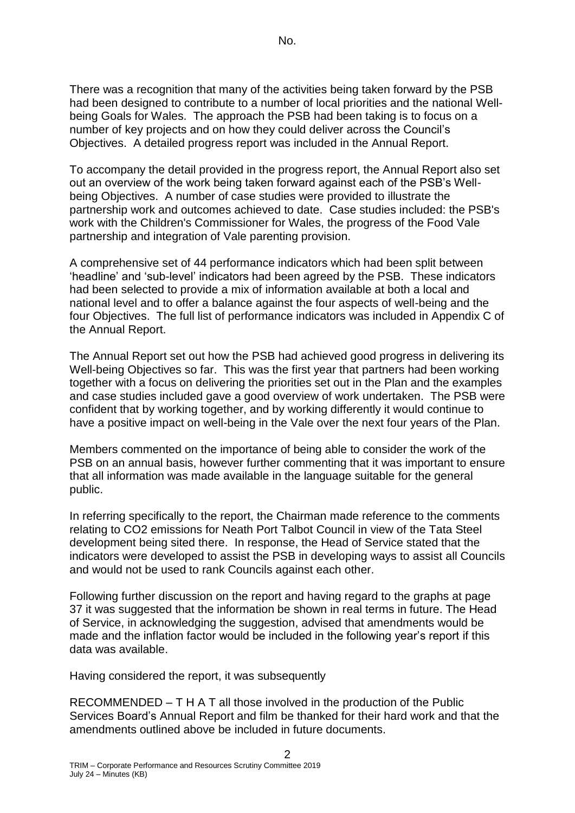There was a recognition that many of the activities being taken forward by the PSB had been designed to contribute to a number of local priorities and the national Wellbeing Goals for Wales. The approach the PSB had been taking is to focus on a number of key projects and on how they could deliver across the Council's Objectives. A detailed progress report was included in the Annual Report.

To accompany the detail provided in the progress report, the Annual Report also set out an overview of the work being taken forward against each of the PSB's Wellbeing Objectives. A number of case studies were provided to illustrate the partnership work and outcomes achieved to date. Case studies included: the PSB's work with the Children's Commissioner for Wales, the progress of the Food Vale partnership and integration of Vale parenting provision.

A comprehensive set of 44 performance indicators which had been split between 'headline' and 'sub-level' indicators had been agreed by the PSB. These indicators had been selected to provide a mix of information available at both a local and national level and to offer a balance against the four aspects of well-being and the four Objectives. The full list of performance indicators was included in Appendix C of the Annual Report.

The Annual Report set out how the PSB had achieved good progress in delivering its Well-being Objectives so far. This was the first year that partners had been working together with a focus on delivering the priorities set out in the Plan and the examples and case studies included gave a good overview of work undertaken. The PSB were confident that by working together, and by working differently it would continue to have a positive impact on well-being in the Vale over the next four years of the Plan.

Members commented on the importance of being able to consider the work of the PSB on an annual basis, however further commenting that it was important to ensure that all information was made available in the language suitable for the general public.

In referring specifically to the report, the Chairman made reference to the comments relating to CO2 emissions for Neath Port Talbot Council in view of the Tata Steel development being sited there. In response, the Head of Service stated that the indicators were developed to assist the PSB in developing ways to assist all Councils and would not be used to rank Councils against each other.

Following further discussion on the report and having regard to the graphs at page 37 it was suggested that the information be shown in real terms in future. The Head of Service, in acknowledging the suggestion, advised that amendments would be made and the inflation factor would be included in the following year's report if this data was available.

Having considered the report, it was subsequently

RECOMMENDED – T H A T all those involved in the production of the Public Services Board's Annual Report and film be thanked for their hard work and that the amendments outlined above be included in future documents.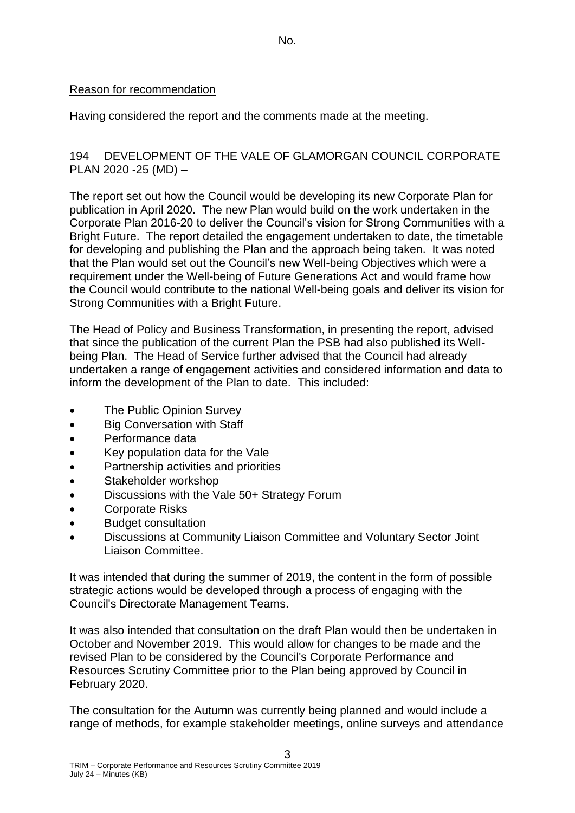#### Reason for recommendation

Having considered the report and the comments made at the meeting.

### 194 DEVELOPMENT OF THE VALE OF GLAMORGAN COUNCIL CORPORATE PLAN 2020 -25 (MD) –

The report set out how the Council would be developing its new Corporate Plan for publication in April 2020. The new Plan would build on the work undertaken in the Corporate Plan 2016-20 to deliver the Council's vision for Strong Communities with a Bright Future. The report detailed the engagement undertaken to date, the timetable for developing and publishing the Plan and the approach being taken. It was noted that the Plan would set out the Council's new Well-being Objectives which were a requirement under the Well-being of Future Generations Act and would frame how the Council would contribute to the national Well-being goals and deliver its vision for Strong Communities with a Bright Future.

The Head of Policy and Business Transformation, in presenting the report, advised that since the publication of the current Plan the PSB had also published its Wellbeing Plan. The Head of Service further advised that the Council had already undertaken a range of engagement activities and considered information and data to inform the development of the Plan to date. This included:

- The Public Opinion Survey
- Big Conversation with Staff
- Performance data
- Key population data for the Vale
- Partnership activities and priorities
- Stakeholder workshop
- Discussions with the Vale 50+ Strategy Forum
- Corporate Risks
- Budget consultation
- Discussions at Community Liaison Committee and Voluntary Sector Joint Liaison Committee.

It was intended that during the summer of 2019, the content in the form of possible strategic actions would be developed through a process of engaging with the Council's Directorate Management Teams.

It was also intended that consultation on the draft Plan would then be undertaken in October and November 2019. This would allow for changes to be made and the revised Plan to be considered by the Council's Corporate Performance and Resources Scrutiny Committee prior to the Plan being approved by Council in February 2020.

The consultation for the Autumn was currently being planned and would include a range of methods, for example stakeholder meetings, online surveys and attendance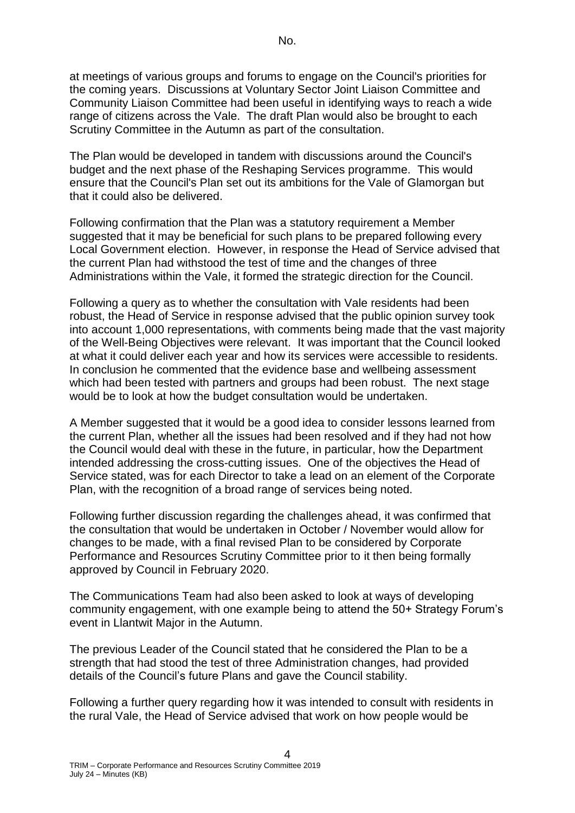at meetings of various groups and forums to engage on the Council's priorities for the coming years. Discussions at Voluntary Sector Joint Liaison Committee and Community Liaison Committee had been useful in identifying ways to reach a wide range of citizens across the Vale. The draft Plan would also be brought to each Scrutiny Committee in the Autumn as part of the consultation.

The Plan would be developed in tandem with discussions around the Council's budget and the next phase of the Reshaping Services programme. This would ensure that the Council's Plan set out its ambitions for the Vale of Glamorgan but that it could also be delivered.

Following confirmation that the Plan was a statutory requirement a Member suggested that it may be beneficial for such plans to be prepared following every Local Government election. However, in response the Head of Service advised that the current Plan had withstood the test of time and the changes of three Administrations within the Vale, it formed the strategic direction for the Council.

Following a query as to whether the consultation with Vale residents had been robust, the Head of Service in response advised that the public opinion survey took into account 1,000 representations, with comments being made that the vast majority of the Well-Being Objectives were relevant. It was important that the Council looked at what it could deliver each year and how its services were accessible to residents. In conclusion he commented that the evidence base and wellbeing assessment which had been tested with partners and groups had been robust. The next stage would be to look at how the budget consultation would be undertaken.

A Member suggested that it would be a good idea to consider lessons learned from the current Plan, whether all the issues had been resolved and if they had not how the Council would deal with these in the future, in particular, how the Department intended addressing the cross-cutting issues. One of the objectives the Head of Service stated, was for each Director to take a lead on an element of the Corporate Plan, with the recognition of a broad range of services being noted.

Following further discussion regarding the challenges ahead, it was confirmed that the consultation that would be undertaken in October / November would allow for changes to be made, with a final revised Plan to be considered by Corporate Performance and Resources Scrutiny Committee prior to it then being formally approved by Council in February 2020.

The Communications Team had also been asked to look at ways of developing community engagement, with one example being to attend the 50+ Strategy Forum's event in Llantwit Major in the Autumn.

The previous Leader of the Council stated that he considered the Plan to be a strength that had stood the test of three Administration changes, had provided details of the Council's future Plans and gave the Council stability.

Following a further query regarding how it was intended to consult with residents in the rural Vale, the Head of Service advised that work on how people would be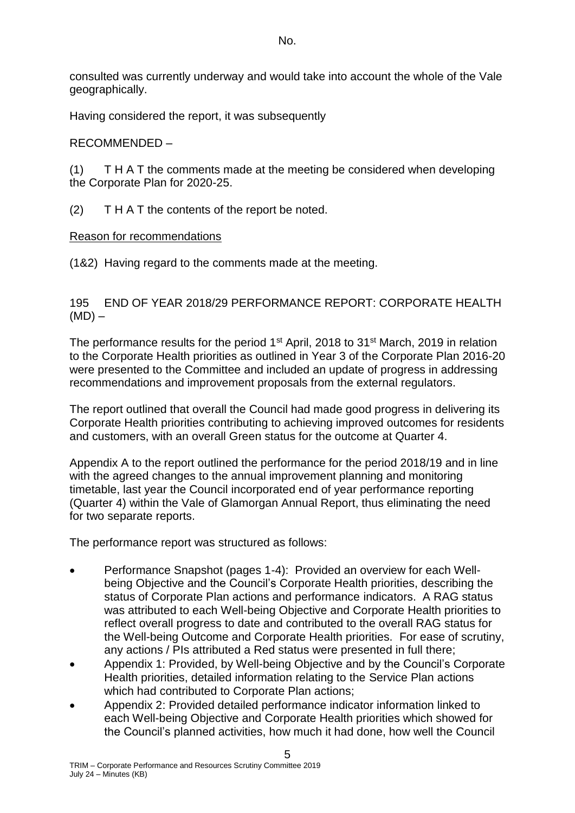consulted was currently underway and would take into account the whole of the Vale geographically.

Having considered the report, it was subsequently

# RECOMMENDED –

(1) T H A T the comments made at the meeting be considered when developing the Corporate Plan for 2020-25.

(2) T H A T the contents of the report be noted.

# Reason for recommendations

(1&2) Having regard to the comments made at the meeting.

### 195 END OF YEAR 2018/29 PERFORMANCE REPORT: CORPORATE HEALTH  $(MD)$  –

The performance results for the period 1<sup>st</sup> April, 2018 to 31<sup>st</sup> March, 2019 in relation to the Corporate Health priorities as outlined in Year 3 of the Corporate Plan 2016-20 were presented to the Committee and included an update of progress in addressing recommendations and improvement proposals from the external regulators.

The report outlined that overall the Council had made good progress in delivering its Corporate Health priorities contributing to achieving improved outcomes for residents and customers, with an overall Green status for the outcome at Quarter 4.

Appendix A to the report outlined the performance for the period 2018/19 and in line with the agreed changes to the annual improvement planning and monitoring timetable, last year the Council incorporated end of year performance reporting (Quarter 4) within the Vale of Glamorgan Annual Report, thus eliminating the need for two separate reports.

The performance report was structured as follows:

- Performance Snapshot (pages 1-4): Provided an overview for each Wellbeing Objective and the Council's Corporate Health priorities, describing the status of Corporate Plan actions and performance indicators. A RAG status was attributed to each Well-being Objective and Corporate Health priorities to reflect overall progress to date and contributed to the overall RAG status for the Well-being Outcome and Corporate Health priorities. For ease of scrutiny, any actions / PIs attributed a Red status were presented in full there;
- Appendix 1: Provided, by Well-being Objective and by the Council's Corporate Health priorities, detailed information relating to the Service Plan actions which had contributed to Corporate Plan actions;
- Appendix 2: Provided detailed performance indicator information linked to each Well-being Objective and Corporate Health priorities which showed for the Council's planned activities, how much it had done, how well the Council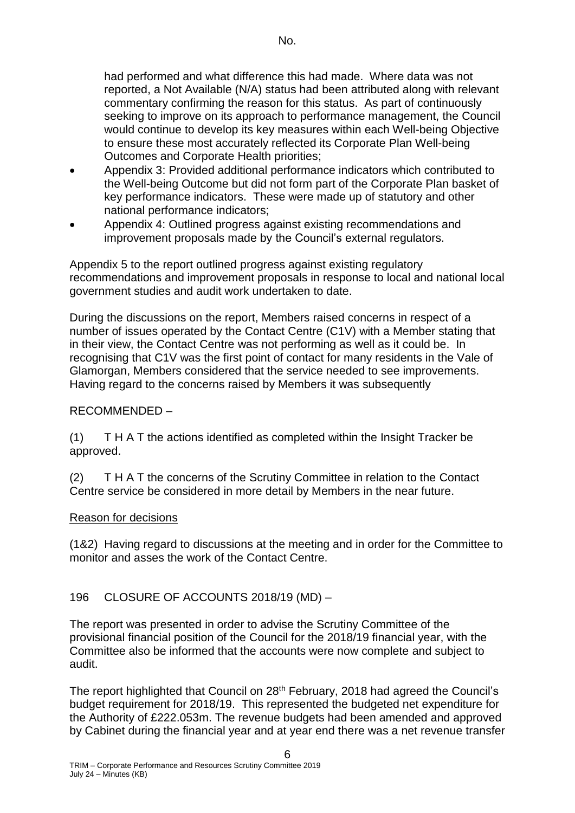had performed and what difference this had made. Where data was not reported, a Not Available (N/A) status had been attributed along with relevant commentary confirming the reason for this status. As part of continuously seeking to improve on its approach to performance management, the Council would continue to develop its key measures within each Well-being Objective to ensure these most accurately reflected its Corporate Plan Well-being Outcomes and Corporate Health priorities;

- Appendix 3: Provided additional performance indicators which contributed to the Well-being Outcome but did not form part of the Corporate Plan basket of key performance indicators. These were made up of statutory and other national performance indicators;
- Appendix 4: Outlined progress against existing recommendations and improvement proposals made by the Council's external regulators.

Appendix 5 to the report outlined progress against existing regulatory recommendations and improvement proposals in response to local and national local government studies and audit work undertaken to date.

During the discussions on the report, Members raised concerns in respect of a number of issues operated by the Contact Centre (C1V) with a Member stating that in their view, the Contact Centre was not performing as well as it could be. In recognising that C1V was the first point of contact for many residents in the Vale of Glamorgan, Members considered that the service needed to see improvements. Having regard to the concerns raised by Members it was subsequently

# RECOMMENDED –

(1) T H A T the actions identified as completed within the Insight Tracker be approved.

(2) T H A T the concerns of the Scrutiny Committee in relation to the Contact Centre service be considered in more detail by Members in the near future.

#### Reason for decisions

(1&2) Having regard to discussions at the meeting and in order for the Committee to monitor and asses the work of the Contact Centre.

# 196 CLOSURE OF ACCOUNTS 2018/19 (MD) –

The report was presented in order to advise the Scrutiny Committee of the provisional financial position of the Council for the 2018/19 financial year, with the Committee also be informed that the accounts were now complete and subject to audit.

The report highlighted that Council on 28<sup>th</sup> February, 2018 had agreed the Council's budget requirement for 2018/19. This represented the budgeted net expenditure for the Authority of £222.053m. The revenue budgets had been amended and approved by Cabinet during the financial year and at year end there was a net revenue transfer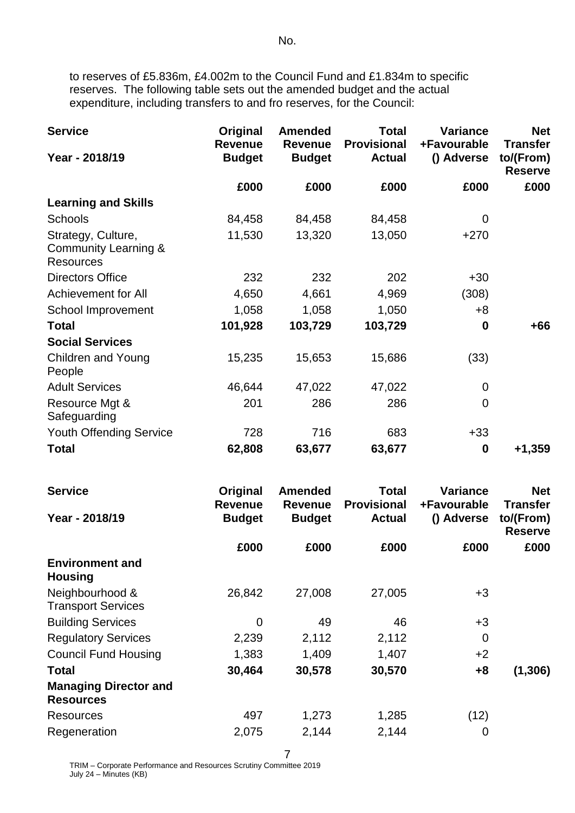to reserves of £5.836m, £4.002m to the Council Fund and £1.834m to specific reserves. The following table sets out the amended budget and the actual expenditure, including transfers to and fro reserves, for the Council:

| <b>Service</b>                                                 | Original<br><b>Revenue</b> | <b>Amended</b><br><b>Revenue</b> | <b>Total</b><br><b>Provisional</b> | <b>Variance</b><br>+Favourable | <b>Net</b><br><b>Transfer</b> |
|----------------------------------------------------------------|----------------------------|----------------------------------|------------------------------------|--------------------------------|-------------------------------|
| Year - 2018/19                                                 | <b>Budget</b>              | <b>Budget</b>                    | <b>Actual</b>                      | () Adverse                     | to/(From)<br><b>Reserve</b>   |
|                                                                | £000                       | £000                             | £000                               | £000                           | £000                          |
| <b>Learning and Skills</b>                                     |                            |                                  |                                    |                                |                               |
| <b>Schools</b>                                                 | 84,458                     | 84,458                           | 84,458                             | $\mathbf 0$                    |                               |
| Strategy, Culture,<br>Community Learning &<br><b>Resources</b> | 11,530                     | 13,320                           | 13,050                             | $+270$                         |                               |
| <b>Directors Office</b>                                        | 232                        | 232                              | 202                                | $+30$                          |                               |
| <b>Achievement for All</b>                                     | 4,650                      | 4,661                            | 4,969                              | (308)                          |                               |
| School Improvement                                             | 1,058                      | 1,058                            | 1,050                              | $+8$                           |                               |
| <b>Total</b>                                                   | 101,928                    | 103,729                          | 103,729                            | $\bf{0}$                       | +66                           |
| <b>Social Services</b>                                         |                            |                                  |                                    |                                |                               |
| <b>Children and Young</b><br>People                            | 15,235                     | 15,653                           | 15,686                             | (33)                           |                               |
| <b>Adult Services</b>                                          | 46,644                     | 47,022                           | 47,022                             | 0                              |                               |
| Resource Mgt &<br>Safeguarding                                 | 201                        | 286                              | 286                                | $\mathbf 0$                    |                               |
| <b>Youth Offending Service</b>                                 | 728                        | 716                              | 683                                | $+33$                          |                               |
| <b>Total</b>                                                   | 62,808                     | 63,677                           | 63,677                             | $\bf{0}$                       | $+1,359$                      |

| <b>Service</b>                                   | Original<br><b>Revenue</b> | <b>Amended</b><br><b>Revenue</b> | <b>Total</b><br><b>Provisional</b> | Variance<br>+Favourable | <b>Net</b><br><b>Transfer</b> |
|--------------------------------------------------|----------------------------|----------------------------------|------------------------------------|-------------------------|-------------------------------|
| Year - 2018/19                                   | <b>Budget</b>              | <b>Budget</b>                    | <b>Actual</b>                      | () Adverse              | to/(From)<br><b>Reserve</b>   |
|                                                  | £000                       | £000                             | £000                               | £000                    | £000                          |
| <b>Environment and</b><br><b>Housing</b>         |                            |                                  |                                    |                         |                               |
| Neighbourhood &<br><b>Transport Services</b>     | 26,842                     | 27,008                           | 27,005                             | $+3$                    |                               |
| <b>Building Services</b>                         | $\overline{0}$             | 49                               | 46                                 | $+3$                    |                               |
| <b>Regulatory Services</b>                       | 2,239                      | 2,112                            | 2,112                              | $\mathbf 0$             |                               |
| <b>Council Fund Housing</b>                      | 1,383                      | 1,409                            | 1,407                              | $+2$                    |                               |
| <b>Total</b>                                     | 30,464                     | 30,578                           | 30,570                             | $+8$                    | (1, 306)                      |
| <b>Managing Director and</b><br><b>Resources</b> |                            |                                  |                                    |                         |                               |
| Resources                                        | 497                        | 1,273                            | 1,285                              | (12)                    |                               |
| Regeneration                                     | 2,075                      | 2,144                            | 2,144                              | $\mathbf 0$             |                               |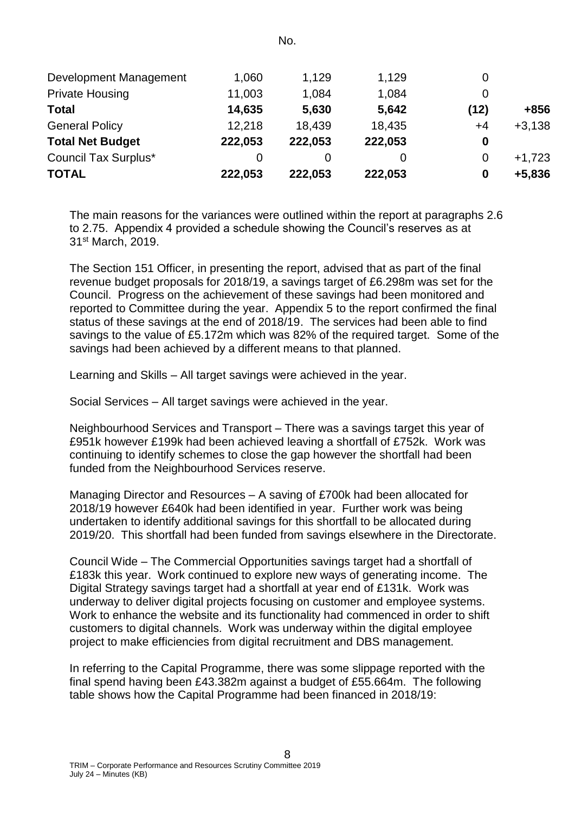| Development Management      | 1,060   | 1,129   | 1,129   |      |          |
|-----------------------------|---------|---------|---------|------|----------|
| <b>Private Housing</b>      | 11,003  | 1,084   | 1,084   |      |          |
| <b>Total</b>                | 14,635  | 5,630   | 5,642   | (12) | +856     |
| <b>General Policy</b>       | 12,218  | 18.439  | 18,435  | +4   | $+3,138$ |
| <b>Total Net Budget</b>     | 222,053 | 222,053 | 222,053 | 0    |          |
| <b>Council Tax Surplus*</b> | 0       | Ω       |         | 0    | $+1,723$ |
| <b>TOTAL</b>                | 222,053 | 222,053 | 222,053 | 0    | $+5,836$ |

The main reasons for the variances were outlined within the report at paragraphs 2.6 to 2.75. Appendix 4 provided a schedule showing the Council's reserves as at 31st March, 2019.

The Section 151 Officer, in presenting the report, advised that as part of the final revenue budget proposals for 2018/19, a savings target of £6.298m was set for the Council. Progress on the achievement of these savings had been monitored and reported to Committee during the year. Appendix 5 to the report confirmed the final status of these savings at the end of 2018/19. The services had been able to find savings to the value of £5.172m which was 82% of the required target. Some of the savings had been achieved by a different means to that planned.

Learning and Skills – All target savings were achieved in the year.

Social Services – All target savings were achieved in the year.

Neighbourhood Services and Transport – There was a savings target this year of £951k however £199k had been achieved leaving a shortfall of £752k. Work was continuing to identify schemes to close the gap however the shortfall had been funded from the Neighbourhood Services reserve.

Managing Director and Resources – A saving of £700k had been allocated for 2018/19 however £640k had been identified in year. Further work was being undertaken to identify additional savings for this shortfall to be allocated during 2019/20. This shortfall had been funded from savings elsewhere in the Directorate.

Council Wide – The Commercial Opportunities savings target had a shortfall of £183k this year. Work continued to explore new ways of generating income. The Digital Strategy savings target had a shortfall at year end of £131k. Work was underway to deliver digital projects focusing on customer and employee systems. Work to enhance the website and its functionality had commenced in order to shift customers to digital channels. Work was underway within the digital employee project to make efficiencies from digital recruitment and DBS management.

In referring to the Capital Programme, there was some slippage reported with the final spend having been £43.382m against a budget of £55.664m. The following table shows how the Capital Programme had been financed in 2018/19: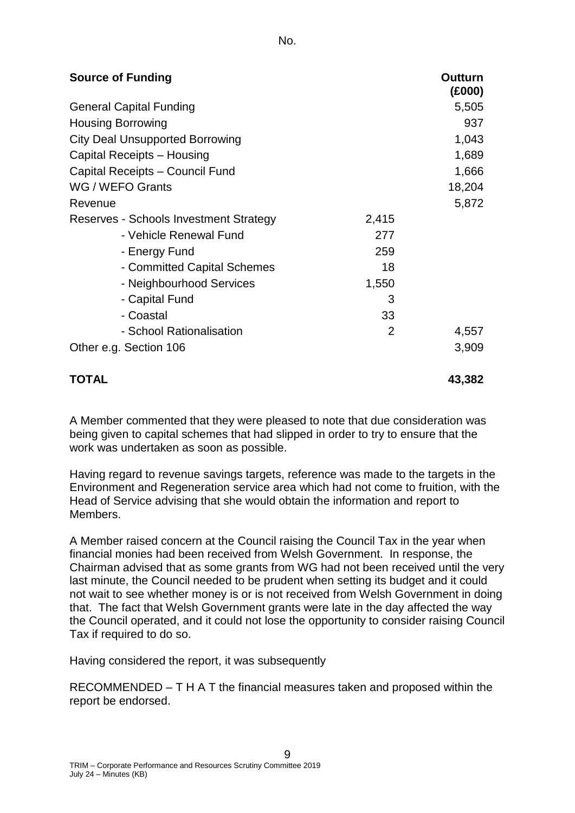| <b>Source of Funding</b>               |                | <b>Outturn</b><br>(£000) |
|----------------------------------------|----------------|--------------------------|
| <b>General Capital Funding</b>         |                | 5,505                    |
| <b>Housing Borrowing</b>               |                | 937                      |
| <b>City Deal Unsupported Borrowing</b> |                | 1,043                    |
| Capital Receipts - Housing             |                | 1,689                    |
| Capital Receipts - Council Fund        |                | 1,666                    |
| WG / WEFO Grants                       |                | 18,204                   |
| Revenue                                |                | 5,872                    |
| Reserves - Schools Investment Strategy | 2,415          |                          |
| - Vehicle Renewal Fund                 | 277            |                          |
| - Energy Fund                          | 259            |                          |
| - Committed Capital Schemes            | 18             |                          |
| - Neighbourhood Services               | 1,550          |                          |
| - Capital Fund                         | 3              |                          |
| - Coastal                              | 33             |                          |
| - School Rationalisation               | $\overline{2}$ | 4,557                    |
| Other e.g. Section 106                 |                | 3,909                    |
| <b>TOTAL</b>                           |                | 43,382                   |

A Member commented that they were pleased to note that due consideration was being given to capital schemes that had slipped in order to try to ensure that the work was undertaken as soon as possible.

Having regard to revenue savings targets, reference was made to the targets in the Environment and Regeneration service area which had not come to fruition, with the Head of Service advising that she would obtain the information and report to Members.

A Member raised concern at the Council raising the Council Tax in the year when financial monies had been received from Welsh Government. In response, the Chairman advised that as some grants from WG had not been received until the very last minute, the Council needed to be prudent when setting its budget and it could not wait to see whether money is or is not received from Welsh Government in doing that. The fact that Welsh Government grants were late in the day affected the way the Council operated, and it could not lose the opportunity to consider raising Council Tax if required to do so.

Having considered the report, it was subsequently

RECOMMENDED – T H A T the financial measures taken and proposed within the report be endorsed.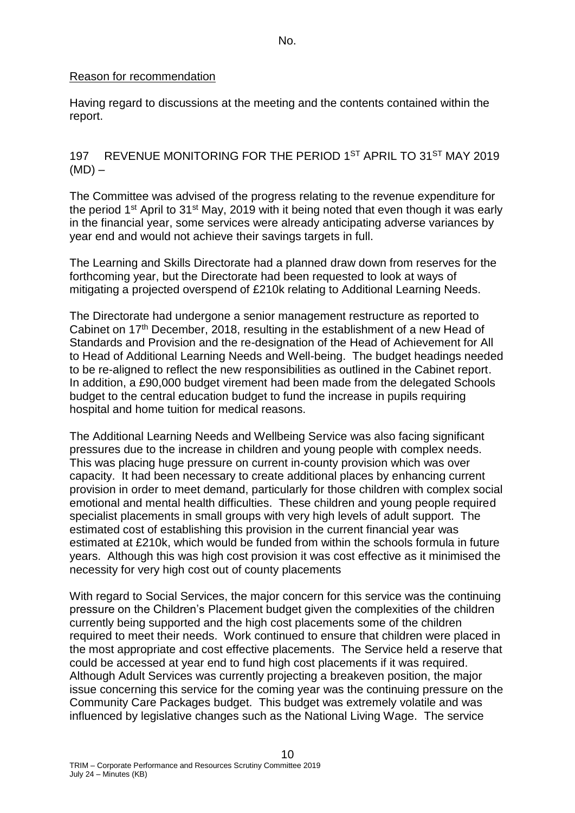#### Reason for recommendation

Having regard to discussions at the meeting and the contents contained within the report.

197 REVENUE MONITORING FOR THE PERIOD 1ST APRIL TO 31ST MAY 2019  $(MD)$  –

The Committee was advised of the progress relating to the revenue expenditure for the period 1<sup>st</sup> April to 31<sup>st</sup> May, 2019 with it being noted that even though it was early in the financial year, some services were already anticipating adverse variances by year end and would not achieve their savings targets in full.

The Learning and Skills Directorate had a planned draw down from reserves for the forthcoming year, but the Directorate had been requested to look at ways of mitigating a projected overspend of £210k relating to Additional Learning Needs.

The Directorate had undergone a senior management restructure as reported to Cabinet on 17<sup>th</sup> December, 2018, resulting in the establishment of a new Head of Standards and Provision and the re-designation of the Head of Achievement for All to Head of Additional Learning Needs and Well-being. The budget headings needed to be re-aligned to reflect the new responsibilities as outlined in the Cabinet report. In addition, a £90,000 budget virement had been made from the delegated Schools budget to the central education budget to fund the increase in pupils requiring hospital and home tuition for medical reasons.

The Additional Learning Needs and Wellbeing Service was also facing significant pressures due to the increase in children and young people with complex needs. This was placing huge pressure on current in-county provision which was over capacity. It had been necessary to create additional places by enhancing current provision in order to meet demand, particularly for those children with complex social emotional and mental health difficulties. These children and young people required specialist placements in small groups with very high levels of adult support. The estimated cost of establishing this provision in the current financial year was estimated at £210k, which would be funded from within the schools formula in future years. Although this was high cost provision it was cost effective as it minimised the necessity for very high cost out of county placements

With regard to Social Services, the major concern for this service was the continuing pressure on the Children's Placement budget given the complexities of the children currently being supported and the high cost placements some of the children required to meet their needs. Work continued to ensure that children were placed in the most appropriate and cost effective placements. The Service held a reserve that could be accessed at year end to fund high cost placements if it was required. Although Adult Services was currently projecting a breakeven position, the major issue concerning this service for the coming year was the continuing pressure on the Community Care Packages budget. This budget was extremely volatile and was influenced by legislative changes such as the National Living Wage. The service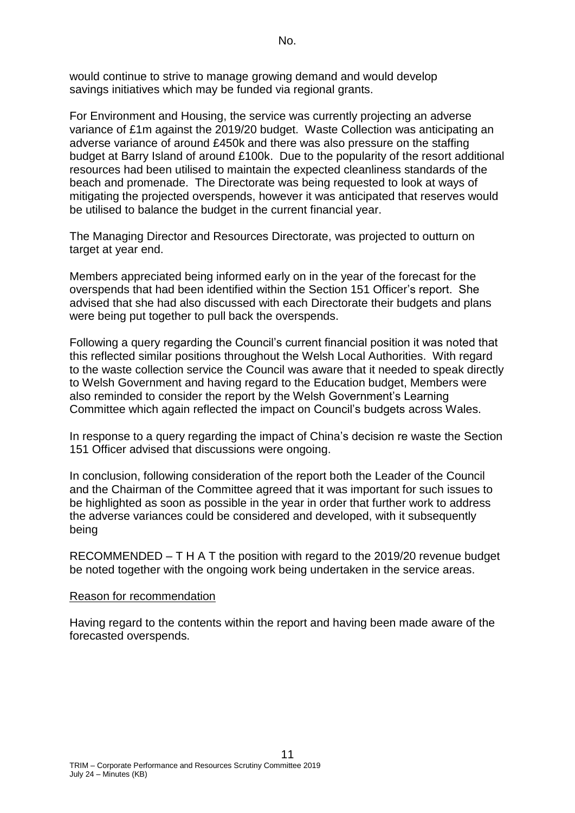would continue to strive to manage growing demand and would develop savings initiatives which may be funded via regional grants.

For Environment and Housing, the service was currently projecting an adverse variance of £1m against the 2019/20 budget. Waste Collection was anticipating an adverse variance of around £450k and there was also pressure on the staffing budget at Barry Island of around £100k. Due to the popularity of the resort additional resources had been utilised to maintain the expected cleanliness standards of the beach and promenade. The Directorate was being requested to look at ways of mitigating the projected overspends, however it was anticipated that reserves would be utilised to balance the budget in the current financial year.

The Managing Director and Resources Directorate, was projected to outturn on target at year end.

Members appreciated being informed early on in the year of the forecast for the overspends that had been identified within the Section 151 Officer's report. She advised that she had also discussed with each Directorate their budgets and plans were being put together to pull back the overspends.

Following a query regarding the Council's current financial position it was noted that this reflected similar positions throughout the Welsh Local Authorities. With regard to the waste collection service the Council was aware that it needed to speak directly to Welsh Government and having regard to the Education budget, Members were also reminded to consider the report by the Welsh Government's Learning Committee which again reflected the impact on Council's budgets across Wales.

In response to a query regarding the impact of China's decision re waste the Section 151 Officer advised that discussions were ongoing.

In conclusion, following consideration of the report both the Leader of the Council and the Chairman of the Committee agreed that it was important for such issues to be highlighted as soon as possible in the year in order that further work to address the adverse variances could be considered and developed, with it subsequently being

RECOMMENDED – T H A T the position with regard to the 2019/20 revenue budget be noted together with the ongoing work being undertaken in the service areas.

#### Reason for recommendation

Having regard to the contents within the report and having been made aware of the forecasted overspends.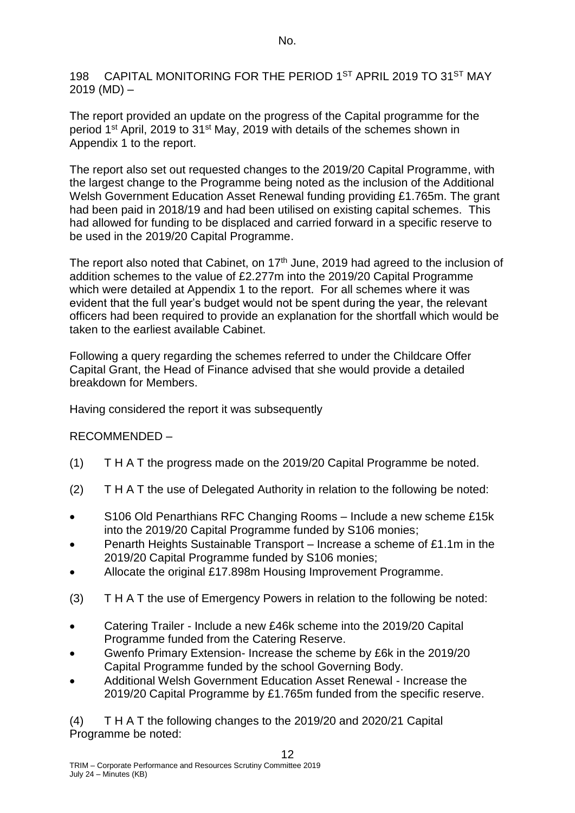198 CAPITAL MONITORING FOR THE PERIOD 1ST APRIL 2019 TO 31ST MAY  $2019 (MD) -$ 

The report provided an update on the progress of the Capital programme for the period 1st April, 2019 to 31st May, 2019 with details of the schemes shown in Appendix 1 to the report.

The report also set out requested changes to the 2019/20 Capital Programme, with the largest change to the Programme being noted as the inclusion of the Additional Welsh Government Education Asset Renewal funding providing £1.765m. The grant had been paid in 2018/19 and had been utilised on existing capital schemes. This had allowed for funding to be displaced and carried forward in a specific reserve to be used in the 2019/20 Capital Programme.

The report also noted that Cabinet, on  $17<sup>th</sup>$  June, 2019 had agreed to the inclusion of addition schemes to the value of £2.277m into the 2019/20 Capital Programme which were detailed at Appendix 1 to the report. For all schemes where it was evident that the full year's budget would not be spent during the year, the relevant officers had been required to provide an explanation for the shortfall which would be taken to the earliest available Cabinet.

Following a query regarding the schemes referred to under the Childcare Offer Capital Grant, the Head of Finance advised that she would provide a detailed breakdown for Members.

Having considered the report it was subsequently

# RECOMMENDED –

- (1) T H A T the progress made on the 2019/20 Capital Programme be noted.
- (2) T H A T the use of Delegated Authority in relation to the following be noted:
- S106 Old Penarthians RFC Changing Rooms Include a new scheme £15k into the 2019/20 Capital Programme funded by S106 monies;
- Penarth Heights Sustainable Transport Increase a scheme of £1.1m in the 2019/20 Capital Programme funded by S106 monies;
- Allocate the original £17.898m Housing Improvement Programme.
- (3) T H A T the use of Emergency Powers in relation to the following be noted:
- Catering Trailer Include a new £46k scheme into the 2019/20 Capital Programme funded from the Catering Reserve.
- Gwenfo Primary Extension- Increase the scheme by £6k in the 2019/20 Capital Programme funded by the school Governing Body.
- Additional Welsh Government Education Asset Renewal Increase the 2019/20 Capital Programme by £1.765m funded from the specific reserve.

(4) T H A T the following changes to the 2019/20 and 2020/21 Capital Programme be noted: